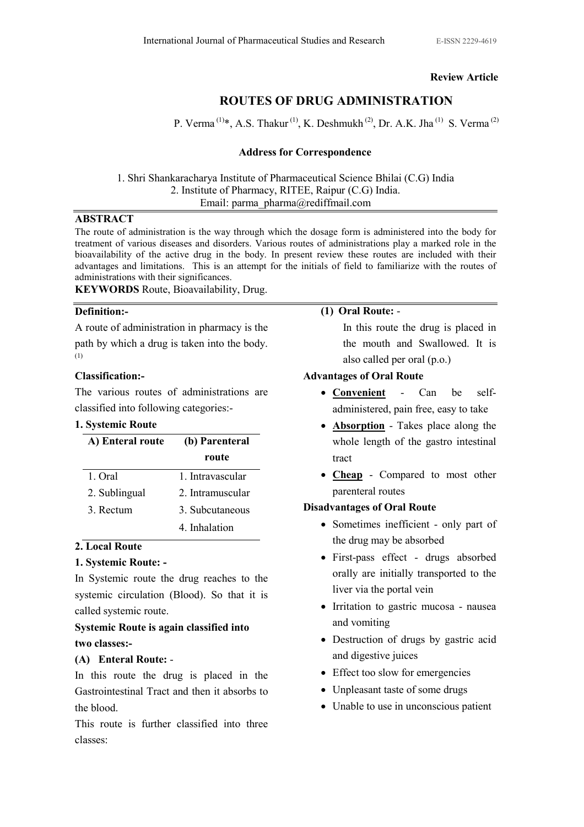# Review Article

# ROUTES OF DRUG ADMINISTRATION

P. Verma<sup>(1)\*</sup>, A.S. Thakur<sup>(1)</sup>, K. Deshmukh<sup>(2)</sup>, Dr. A.K. Jha<sup>(1)</sup> S. Verma<sup>(2)</sup>

# Address for Correspondence

1. Shri Shankaracharya Institute of Pharmaceutical Science Bhilai (C.G) India 2. Institute of Pharmacy, RITEE, Raipur (C.G) India. Email: parma\_pharma@rediffmail.com

#### ABSTRACT

The route of administration is the way through which the dosage form is administered into the body for treatment of various diseases and disorders. Various routes of administrations play a marked role in the bioavailability of the active drug in the body. In present review these routes are included with their advantages and limitations. This is an attempt for the initials of field to familiarize with the routes of administrations with their significances.

KEYWORDS Route, Bioavailability, Drug.

# Definition:-

A route of administration in pharmacy is the path by which a drug is taken into the body. (1)

# Classification:-

The various routes of administrations are classified into following categories:-

# 1. Systemic Route

| A) Enteral route | (b) Parenteral   |
|------------------|------------------|
|                  | route            |
| 1 Oral           | 1. Intravascular |
| 2. Sublingual    | 2. Intramuscular |
| 3. Rectum        | 3. Subcutaneous  |
|                  | 4. Inhalation    |

# 2. Local Route

# 1. Systemic Route: -

In Systemic route the drug reaches to the systemic circulation (Blood). So that it is called systemic route.

# Systemic Route is again classified into two classes:-

# (A) Enteral Route: -

In this route the drug is placed in the Gastrointestinal Tract and then it absorbs to the blood.

This route is further classified into three classes:

#### (1) Oral Route: -

In this route the drug is placed in the mouth and Swallowed. It is also called per oral (p.o.)

# Advantages of Oral Route

- Convenient Can be selfadministered, pain free, easy to take
- **Absorption** Takes place along the whole length of the gastro intestinal tract
- Cheap Compared to most other parenteral routes

# Disadvantages of Oral Route

- Sometimes inefficient only part of the drug may be absorbed
- First-pass effect drugs absorbed orally are initially transported to the liver via the portal vein
- Irritation to gastric mucosa nausea and vomiting
- Destruction of drugs by gastric acid and digestive juices
- Effect too slow for emergencies
- Unpleasant taste of some drugs
- Unable to use in unconscious patient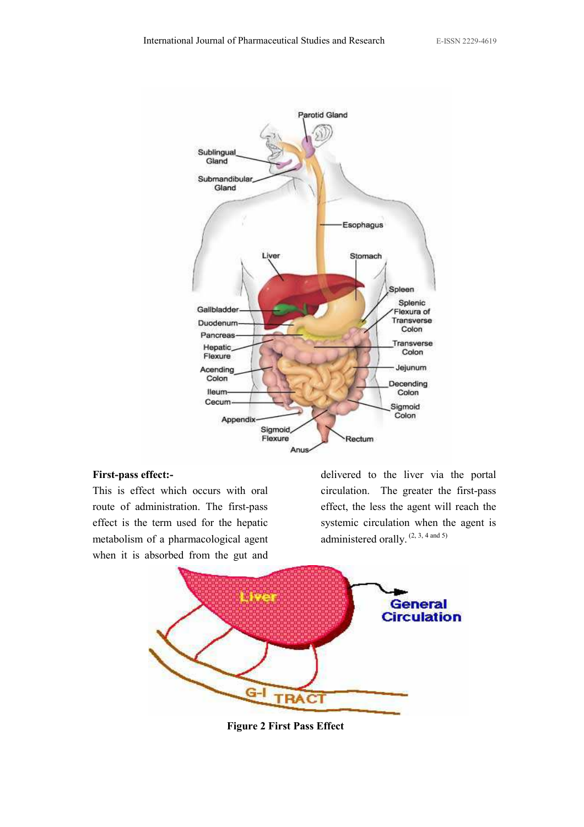

#### First-pass effect:-

This is effect which occurs with oral route of administration. The first-pass effect is the term used for the hepatic metabolism of a pharmacological agent when it is absorbed from the gut and

delivered to the liver via the portal circulation. The greater the first-pass effect, the less the agent will reach the systemic circulation when the agent is administered orally.<sup>(2, 3, 4 and 5)</sup>



Figure 2 First Pass Effect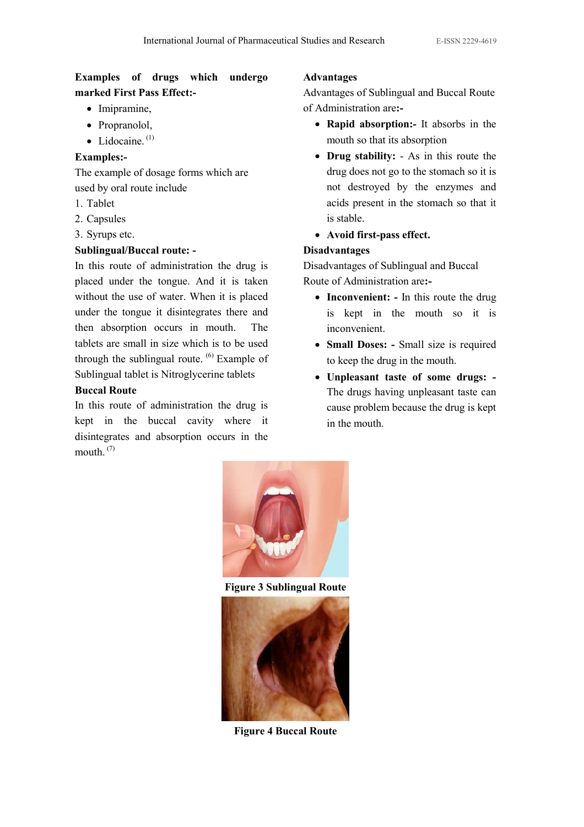# Examples of drugs which undergo marked First Pass Effect:-

- Imipramine,
- Propranolol,
- $\bullet$  Lidocaine<sup> $(1)$ </sup>

# Examples:-

The example of dosage forms which are used by oral route include

- 1. Tablet
- 2. Capsules
- 3. Syrups etc.

# Sublingual/Buccal route: -

In this route of administration the drug is placed under the tongue. And it is taken without the use of water. When it is placed under the tongue it disintegrates there and then absorption occurs in mouth. The tablets are small in size which is to be used through the sublingual route. (6) Example of Sublingual tablet is Nitroglycerine tablets

# Buccal Route

In this route of administration the drug is kept in the buccal cavity where it disintegrates and absorption occurs in the mouth. $(7)$ 

# Advantages

Advantages of Sublingual and Buccal Route of Administration are:-

- Rapid absorption:- It absorbs in the mouth so that its absorption
- Drug stability: As in this route the drug does not go to the stomach so it is not destroyed by the enzymes and acids present in the stomach so that it is stable.
- Avoid first-pass effect.

# Disadvantages

Disadvantages of Sublingual and Buccal Route of Administration are:-

- Inconvenient: In this route the drug is kept in the mouth so it is inconvenient.
- Small Doses: Small size is required to keep the drug in the mouth.
- Unpleasant taste of some drugs: The drugs having unpleasant taste can cause problem because the drug is kept in the mouth.



Figure 3 Sublingual Route



Figure 4 Buccal Route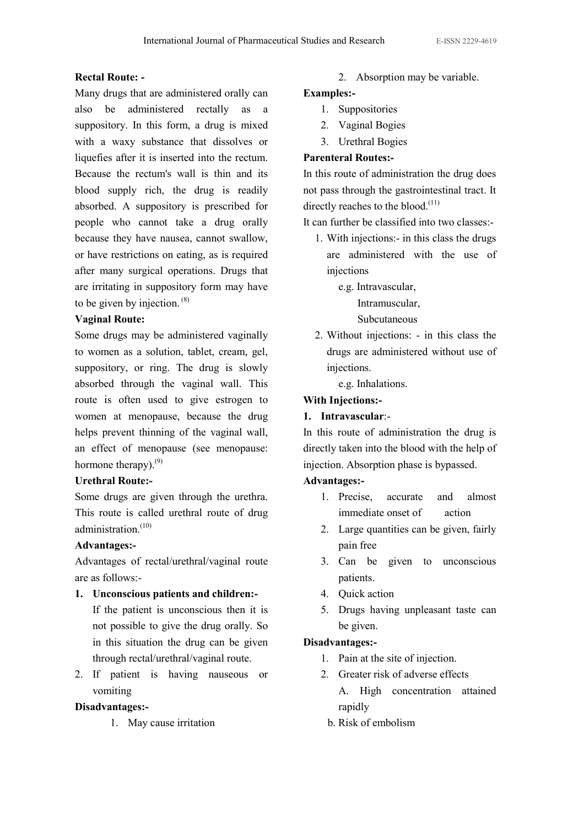# Rectal Route: -

Many drugs that are administered orally can also be administered rectally as a suppository. In this form, a drug is mixed with a waxy substance that dissolves or liquefies after it is inserted into the rectum. Because the rectum's wall is thin and its blood supply rich, the drug is readily absorbed. A suppository is prescribed for people who cannot take a drug orally because they have nausea, cannot swallow, or have restrictions on eating, as is required after many surgical operations. Drugs that are irritating in suppository form may have to be given by injection. (8)

# Vaginal Route:

Some drugs may be administered vaginally to women as a solution, tablet, cream, gel, suppository, or ring. The drug is slowly absorbed through the vaginal wall. This route is often used to give estrogen to women at menopause, because the drug helps prevent thinning of the vaginal wall, an effect of menopause (see menopause: hormone therapy).<sup>(9)</sup>

# Urethral Route:-

Some drugs are given through the urethra. This route is called urethral route of drug administration.<sup>(10)</sup>

# Advantages:-

Advantages of rectal/urethral/vaginal route are as follows:-

1. Unconscious patients and children:-

 If the patient is unconscious then it is not possible to give the drug orally. So in this situation the drug can be given through rectal/urethral/vaginal route.

2. If patient is having nauseous or vomiting

# Disadvantages:-

1. May cause irritation

2. Absorption may be variable.

# Examples:-

- 1. Suppositories
- 2. Vaginal Bogies
- 3. Urethral Bogies

# Parenteral Routes:-

In this route of administration the drug does not pass through the gastrointestinal tract. It directly reaches to the blood. $(11)$ 

It can further be classified into two classes:-

1. With injections:- in this class the drugs are administered with the use of injections

e.g. Intravascular,

Intramuscular,

Subcutaneous

2. Without injections: - in this class the drugs are administered without use of injections.

e.g. Inhalations.

# With Injections:-

# 1. Intravascular:-

In this route of administration the drug is directly taken into the blood with the help of injection. Absorption phase is bypassed.

# Advantages:-

- 1. Precise, accurate and almost immediate onset of action
- 2. Large quantities can be given, fairly pain free
- 3. Can be given to unconscious patients.
- 4. Quick action
- 5. Drugs having unpleasant taste can be given.

# Disadvantages:-

- 1. Pain at the site of injection.
- 2. Greater risk of adverse effects A. High concentration attained rapidly
	- b. Risk of embolism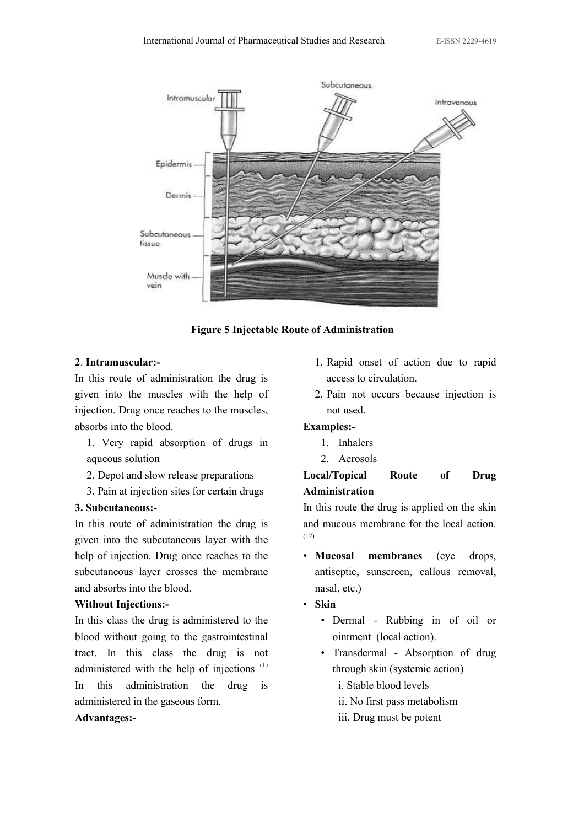

Figure 5 Injectable Route of Administration

#### 2. Intramuscular:-

In this route of administration the drug is given into the muscles with the help of injection. Drug once reaches to the muscles, absorbs into the blood.

- 1. Very rapid absorption of drugs in aqueous solution
- 2. Depot and slow release preparations
- 3. Pain at injection sites for certain drugs

#### 3. Subcutaneous:-

In this route of administration the drug is given into the subcutaneous layer with the help of injection. Drug once reaches to the subcutaneous layer crosses the membrane and absorbs into the blood.

#### Without Injections:-

In this class the drug is administered to the blood without going to the gastrointestinal tract. In this class the drug is not administered with the help of injections.  $(1)$ In this administration the drug is administered in the gaseous form.

#### Advantages:-

- 1. Rapid onset of action due to rapid access to circulation.
- 2. Pain not occurs because injection is not used.

#### Examples:-

- 1. Inhalers
- 2. Aerosols

# Local/Topical Route of Drug Administration

In this route the drug is applied on the skin and mucous membrane for the local action. (12)

- Mucosal membranes (eye drops, antiseptic, sunscreen, callous removal, nasal, etc.)
- Skin
	- Dermal Rubbing in of oil or ointment (local action).
	- Transdermal Absorption of drug through skin (systemic action)
		- i. Stable blood levels
		- ii. No first pass metabolism
		- iii. Drug must be potent